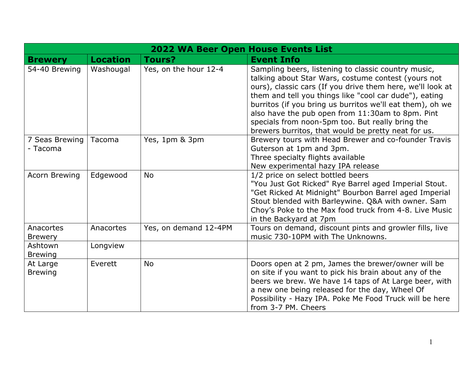| <b>2022 WA Beer Open House Events List</b> |                 |                       |                                                                                                                                                                                                                                                                                                                                                                                                                                                                |
|--------------------------------------------|-----------------|-----------------------|----------------------------------------------------------------------------------------------------------------------------------------------------------------------------------------------------------------------------------------------------------------------------------------------------------------------------------------------------------------------------------------------------------------------------------------------------------------|
| <b>Brewery</b>                             | <b>Location</b> | <b>Tours?</b>         | <b>Event Info</b>                                                                                                                                                                                                                                                                                                                                                                                                                                              |
| 54-40 Brewing                              | Washougal       | Yes, on the hour 12-4 | Sampling beers, listening to classic country music,<br>talking about Star Wars, costume contest (yours not<br>ours), classic cars (If you drive them here, we'll look at<br>them and tell you things like "cool car dude"), eating<br>burritos (if you bring us burritos we'll eat them), oh we<br>also have the pub open from 11:30am to 8pm. Pint<br>specials from noon-5pm too. But really bring the<br>brewers burritos, that would be pretty neat for us. |
| 7 Seas Brewing<br>- Tacoma                 | Tacoma          | Yes, 1pm & 3pm        | Brewery tours with Head Brewer and co-founder Travis<br>Guterson at 1pm and 3pm.<br>Three specialty flights available<br>New experimental hazy IPA release                                                                                                                                                                                                                                                                                                     |
| <b>Acorn Brewing</b>                       | Edgewood        | <b>No</b>             | 1/2 price on select bottled beers<br>"You Just Got Ricked" Rye Barrel aged Imperial Stout.<br>"Get Ricked At Midnight" Bourbon Barrel aged Imperial<br>Stout blended with Barleywine. Q&A with owner. Sam<br>Choy's Poke to the Max food truck from 4-8. Live Music<br>in the Backyard at 7pm                                                                                                                                                                  |
| Anacortes<br><b>Brewery</b>                | Anacortes       | Yes, on demand 12-4PM | Tours on demand, discount pints and growler fills, live<br>music 730-10PM with The Unknowns.                                                                                                                                                                                                                                                                                                                                                                   |
| Ashtown<br><b>Brewing</b>                  | Longview        |                       |                                                                                                                                                                                                                                                                                                                                                                                                                                                                |
| At Large<br><b>Brewing</b>                 | Everett         | No                    | Doors open at 2 pm, James the brewer/owner will be<br>on site if you want to pick his brain about any of the<br>beers we brew. We have 14 taps of At Large beer, with<br>a new one being released for the day, Wheel Of<br>Possibility - Hazy IPA. Poke Me Food Truck will be here<br>from 3-7 PM. Cheers                                                                                                                                                      |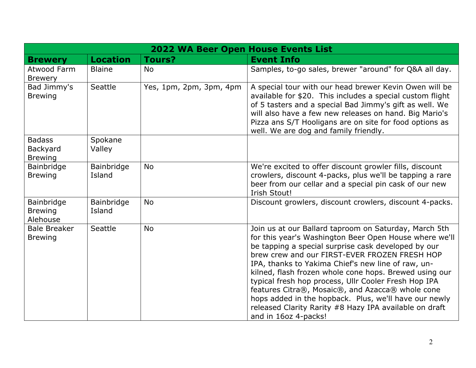|                                                    | 2022 WA Beer Open House Events List |                         |                                                                                                                                                                                                                                                                                                                                                                                                                                                                                                                                                                                                |  |
|----------------------------------------------------|-------------------------------------|-------------------------|------------------------------------------------------------------------------------------------------------------------------------------------------------------------------------------------------------------------------------------------------------------------------------------------------------------------------------------------------------------------------------------------------------------------------------------------------------------------------------------------------------------------------------------------------------------------------------------------|--|
| <b>Brewery</b>                                     | <b>Location</b>                     | <b>Tours?</b>           | <b>Event Info</b>                                                                                                                                                                                                                                                                                                                                                                                                                                                                                                                                                                              |  |
| Atwood Farm<br><b>Brewery</b>                      | <b>Blaine</b>                       | <b>No</b>               | Samples, to-go sales, brewer "around" for Q&A all day.                                                                                                                                                                                                                                                                                                                                                                                                                                                                                                                                         |  |
| Bad Jimmy's<br><b>Brewing</b>                      | Seattle                             | Yes, 1pm, 2pm, 3pm, 4pm | A special tour with our head brewer Kevin Owen will be<br>available for \$20. This includes a special custom flight<br>of 5 tasters and a special Bad Jimmy's gift as well. We<br>will also have a few new releases on hand. Big Mario's<br>Pizza ans S/T Hooligans are on site for food options as<br>well. We are dog and family friendly.                                                                                                                                                                                                                                                   |  |
| <b>Badass</b><br><b>Backyard</b><br><b>Brewing</b> | Spokane<br>Valley                   |                         |                                                                                                                                                                                                                                                                                                                                                                                                                                                                                                                                                                                                |  |
| Bainbridge<br><b>Brewing</b>                       | Bainbridge<br>Island                | <b>No</b>               | We're excited to offer discount growler fills, discount<br>crowlers, discount 4-packs, plus we'll be tapping a rare<br>beer from our cellar and a special pin cask of our new<br>Irish Stout!                                                                                                                                                                                                                                                                                                                                                                                                  |  |
| Bainbridge<br><b>Brewing</b><br>Alehouse           | Bainbridge<br>Island                | <b>No</b>               | Discount growlers, discount crowlers, discount 4-packs.                                                                                                                                                                                                                                                                                                                                                                                                                                                                                                                                        |  |
| <b>Bale Breaker</b><br><b>Brewing</b>              | Seattle                             | <b>No</b>               | Join us at our Ballard taproom on Saturday, March 5th<br>for this year's Washington Beer Open House where we'll<br>be tapping a special surprise cask developed by our<br>brew crew and our FIRST-EVER FROZEN FRESH HOP<br>IPA, thanks to Yakima Chief's new line of raw, un-<br>kilned, flash frozen whole cone hops. Brewed using our<br>typical fresh hop process, Ullr Cooler Fresh Hop IPA<br>features Citra®, Mosaic®, and Azacca® whole cone<br>hops added in the hopback. Plus, we'll have our newly<br>released Clarity Rarity #8 Hazy IPA available on draft<br>and in 16oz 4-packs! |  |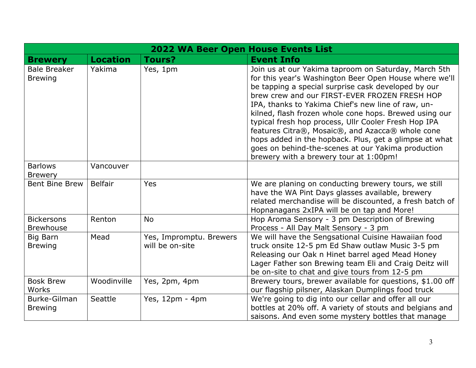|                                       |                 | <b>2022 WA Beer Open House Events List</b> |                                                                                                                                                                                                                                                                                                                                                                                                                                                                                                                                                                                                              |
|---------------------------------------|-----------------|--------------------------------------------|--------------------------------------------------------------------------------------------------------------------------------------------------------------------------------------------------------------------------------------------------------------------------------------------------------------------------------------------------------------------------------------------------------------------------------------------------------------------------------------------------------------------------------------------------------------------------------------------------------------|
| <b>Brewery</b>                        | <b>Location</b> | <b>Tours?</b>                              | <b>Event Info</b>                                                                                                                                                                                                                                                                                                                                                                                                                                                                                                                                                                                            |
| <b>Bale Breaker</b><br><b>Brewing</b> | Yakima          | Yes, 1pm                                   | Join us at our Yakima taproom on Saturday, March 5th<br>for this year's Washington Beer Open House where we'll<br>be tapping a special surprise cask developed by our<br>brew crew and our FIRST-EVER FROZEN FRESH HOP<br>IPA, thanks to Yakima Chief's new line of raw, un-<br>kilned, flash frozen whole cone hops. Brewed using our<br>typical fresh hop process, Ullr Cooler Fresh Hop IPA<br>features Citra®, Mosaic®, and Azacca® whole cone<br>hops added in the hopback. Plus, get a glimpse at what<br>goes on behind-the-scenes at our Yakima production<br>brewery with a brewery tour at 1:00pm! |
| <b>Barlows</b><br><b>Brewery</b>      | Vancouver       |                                            |                                                                                                                                                                                                                                                                                                                                                                                                                                                                                                                                                                                                              |
| <b>Bent Bine Brew</b>                 | <b>Belfair</b>  | <b>Yes</b>                                 | We are planing on conducting brewery tours, we still<br>have the WA Pint Days glasses available, brewery<br>related merchandise will be discounted, a fresh batch of<br>Hopnanagans 2xIPA will be on tap and More!                                                                                                                                                                                                                                                                                                                                                                                           |
| <b>Bickersons</b><br><b>Brewhouse</b> | Renton          | <b>No</b>                                  | Hop Aroma Sensory - 3 pm Description of Brewing<br>Process - All Day Malt Sensory - 3 pm                                                                                                                                                                                                                                                                                                                                                                                                                                                                                                                     |
| Big Barn<br><b>Brewing</b>            | Mead            | Yes, Impromptu. Brewers<br>will be on-site | We will have the Sengsational Cuisine Hawaiian food<br>truck onsite 12-5 pm Ed Shaw outlaw Music 3-5 pm<br>Releasing our Oak n Hinet barrel aged Mead Honey<br>Lager Father son Brewing team Eli and Craig Deitz will<br>be on-site to chat and give tours from 12-5 pm                                                                                                                                                                                                                                                                                                                                      |
| <b>Bosk Brew</b><br>Works             | Woodinville     | Yes, 2pm, 4pm                              | Brewery tours, brewer available for questions, \$1.00 off<br>our flagship pilsner, Alaskan Dumplings food truck                                                                                                                                                                                                                                                                                                                                                                                                                                                                                              |
| Burke-Gilman<br><b>Brewing</b>        | Seattle         | Yes, 12pm - 4pm                            | We're going to dig into our cellar and offer all our<br>bottles at 20% off. A variety of stouts and belgians and<br>saisons. And even some mystery bottles that manage                                                                                                                                                                                                                                                                                                                                                                                                                                       |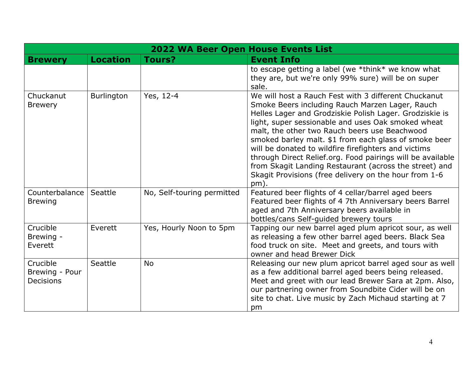|                                                | <b>2022 WA Beer Open House Events List</b> |                            |                                                                                                                                                                                                                                                                                                                                                                                                                                                                                                                                                                                     |  |
|------------------------------------------------|--------------------------------------------|----------------------------|-------------------------------------------------------------------------------------------------------------------------------------------------------------------------------------------------------------------------------------------------------------------------------------------------------------------------------------------------------------------------------------------------------------------------------------------------------------------------------------------------------------------------------------------------------------------------------------|--|
| <b>Brewery</b>                                 | <b>Location</b>                            | Tours?                     | <b>Event Info</b>                                                                                                                                                                                                                                                                                                                                                                                                                                                                                                                                                                   |  |
|                                                |                                            |                            | to escape getting a label (we $*$ think $*$ we know what<br>they are, but we're only 99% sure) will be on super<br>sale.                                                                                                                                                                                                                                                                                                                                                                                                                                                            |  |
| Chuckanut<br><b>Brewery</b>                    | <b>Burlington</b>                          | Yes, 12-4                  | We will host a Rauch Fest with 3 different Chuckanut<br>Smoke Beers including Rauch Marzen Lager, Rauch<br>Helles Lager and Grodziskie Polish Lager. Grodziskie is<br>light, super sessionable and uses Oak smoked wheat<br>malt, the other two Rauch beers use Beachwood<br>smoked barley malt. \$1 from each glass of smoke beer<br>will be donated to wildfire firefighters and victims<br>through Direct Relief.org. Food pairings will be available<br>from Skagit Landing Restaurant (across the street) and<br>Skagit Provisions (free delivery on the hour from 1-6<br>pm). |  |
| Counterbalance<br><b>Brewing</b>               | Seattle                                    | No, Self-touring permitted | Featured beer flights of 4 cellar/barrel aged beers<br>Featured beer flights of 4 7th Anniversary beers Barrel<br>aged and 7th Anniversary beers available in<br>bottles/cans Self-guided brewery tours                                                                                                                                                                                                                                                                                                                                                                             |  |
| Crucible<br>Brewing -<br>Everett               | Everett                                    | Yes, Hourly Noon to 5pm    | Tapping our new barrel aged plum apricot sour, as well<br>as releasing a few other barrel aged beers. Black Sea<br>food truck on site. Meet and greets, and tours with<br>owner and head Brewer Dick                                                                                                                                                                                                                                                                                                                                                                                |  |
| Crucible<br>Brewing - Pour<br><b>Decisions</b> | Seattle                                    | <b>No</b>                  | Releasing our new plum apricot barrel aged sour as well<br>as a few additional barrel aged beers being released.<br>Meet and greet with our lead Brewer Sara at 2pm. Also,<br>our partnering owner from Soundbite Cider will be on<br>site to chat. Live music by Zach Michaud starting at 7<br>pm                                                                                                                                                                                                                                                                                  |  |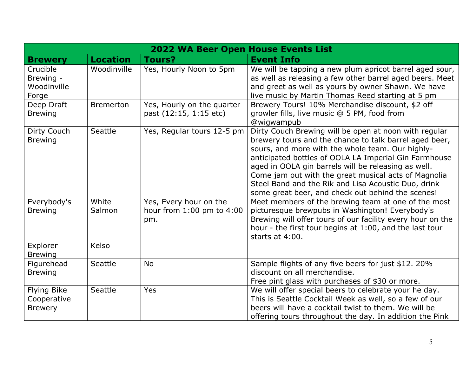|                                                     | <b>2022 WA Beer Open House Events List</b> |                                                            |                                                                                                                                                                                                                                                                                                                                                                                                                                                         |  |
|-----------------------------------------------------|--------------------------------------------|------------------------------------------------------------|---------------------------------------------------------------------------------------------------------------------------------------------------------------------------------------------------------------------------------------------------------------------------------------------------------------------------------------------------------------------------------------------------------------------------------------------------------|--|
| <b>Brewery</b>                                      | <b>Location</b>                            | <b>Tours?</b>                                              | <b>Event Info</b>                                                                                                                                                                                                                                                                                                                                                                                                                                       |  |
| Crucible<br>Brewing -<br>Woodinville<br>Forge       | Woodinville                                | Yes, Hourly Noon to 5pm                                    | We will be tapping a new plum apricot barrel aged sour,<br>as well as releasing a few other barrel aged beers. Meet<br>and greet as well as yours by owner Shawn. We have<br>live music by Martin Thomas Reed starting at 5 pm                                                                                                                                                                                                                          |  |
| Deep Draft<br><b>Brewing</b>                        | <b>Bremerton</b>                           | Yes, Hourly on the quarter<br>past (12:15, 1:15 etc)       | Brewery Tours! 10% Merchandise discount, \$2 off<br>growler fills, live music @ 5 PM, food from<br>@wigwampub                                                                                                                                                                                                                                                                                                                                           |  |
| Dirty Couch<br><b>Brewing</b>                       | Seattle                                    | Yes, Regular tours 12-5 pm                                 | Dirty Couch Brewing will be open at noon with regular<br>brewery tours and the chance to talk barrel aged beer,<br>sours, and more with the whole team. Our highly-<br>anticipated bottles of OOLA LA Imperial Gin Farmhouse<br>aged in OOLA gin barrels will be releasing as well.<br>Come jam out with the great musical acts of Magnolia<br>Steel Band and the Rik and Lisa Acoustic Duo, drink<br>some great beer, and check out behind the scenes! |  |
| Everybody's<br><b>Brewing</b>                       | White<br>Salmon                            | Yes, Every hour on the<br>hour from 1:00 pm to 4:00<br>pm. | Meet members of the brewing team at one of the most<br>picturesque brewpubs in Washington! Everybody's<br>Brewing will offer tours of our facility every hour on the<br>hour - the first tour begins at 1:00, and the last tour<br>starts at 4:00.                                                                                                                                                                                                      |  |
| Explorer<br><b>Brewing</b>                          | Kelso                                      |                                                            |                                                                                                                                                                                                                                                                                                                                                                                                                                                         |  |
| Figurehead<br><b>Brewing</b>                        | Seattle                                    | <b>No</b>                                                  | Sample flights of any five beers for just \$12. 20%<br>discount on all merchandise.<br>Free pint glass with purchases of \$30 or more.                                                                                                                                                                                                                                                                                                                  |  |
| <b>Flying Bike</b><br>Cooperative<br><b>Brewery</b> | Seattle                                    | Yes                                                        | We will offer special beers to celebrate your he day.<br>This is Seattle Cocktail Week as well, so a few of our<br>beers will have a cocktail twist to them. We will be<br>offering tours throughout the day. In addition the Pink                                                                                                                                                                                                                      |  |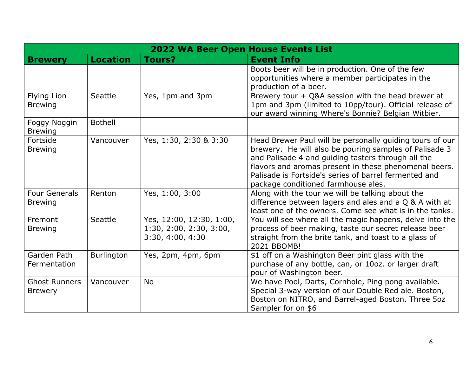|                                        | 2022 WA Beer Open House Events List |                                                                         |                                                                                                                                                                                                                                                                                                                                   |  |
|----------------------------------------|-------------------------------------|-------------------------------------------------------------------------|-----------------------------------------------------------------------------------------------------------------------------------------------------------------------------------------------------------------------------------------------------------------------------------------------------------------------------------|--|
| <b>Brewery</b>                         | <b>Location</b>                     | Tours?                                                                  | <b>Event Info</b>                                                                                                                                                                                                                                                                                                                 |  |
|                                        |                                     |                                                                         | Boots beer will be in production. One of the few<br>opportunities where a member participates in the<br>production of a beer.                                                                                                                                                                                                     |  |
| <b>Flying Lion</b><br><b>Brewing</b>   | Seattle                             | Yes, 1pm and 3pm                                                        | Brewery tour + Q&A session with the head brewer at<br>1pm and 3pm (limited to 10pp/tour). Official release of<br>our award winning Where's Bonnie? Belgian Witbier.                                                                                                                                                               |  |
| Foggy Noggin<br><b>Brewing</b>         | <b>Bothell</b>                      |                                                                         |                                                                                                                                                                                                                                                                                                                                   |  |
| Fortside<br><b>Brewing</b>             | Vancouver                           | Yes, 1:30, 2:30 & 3:30                                                  | Head Brewer Paul will be personally guiding tours of our<br>brewery. He will also be pouring samples of Palisade 3<br>and Palisade 4 and guiding tasters through all the<br>flavors and aromas present in these phenomenal beers.<br>Palisade is Fortside's series of barrel fermented and<br>package conditioned farmhouse ales. |  |
| <b>Four Generals</b><br><b>Brewing</b> | Renton                              | Yes, 1:00, 3:00                                                         | Along with the tour we will be talking about the<br>difference between lagers and ales and a Q & A with at<br>least one of the owners. Come see what is in the tanks.                                                                                                                                                             |  |
| Fremont<br><b>Brewing</b>              | Seattle                             | Yes, 12:00, 12:30, 1:00,<br>1:30, 2:00, 2:30, 3:00,<br>3:30, 4:00, 4:30 | You will see where all the magic happens, delve into the<br>process of beer making, taste our secret release beer<br>straight from the brite tank, and toast to a glass of<br>2021 BBOMB!                                                                                                                                         |  |
| Garden Path<br>Fermentation            | Burlington                          | Yes, 2pm, 4pm, 6pm                                                      | \$1 off on a Washington Beer pint glass with the<br>purchase of any bottle, can, or 10oz. or larger draft<br>pour of Washington beer.                                                                                                                                                                                             |  |
| <b>Ghost Runners</b><br><b>Brewery</b> | Vancouver                           | <b>No</b>                                                               | We have Pool, Darts, Cornhole, Ping pong available.<br>Special 3-way version of our Double Red ale. Boston,<br>Boston on NITRO, and Barrel-aged Boston. Three 5oz<br>Sampler for on \$6                                                                                                                                           |  |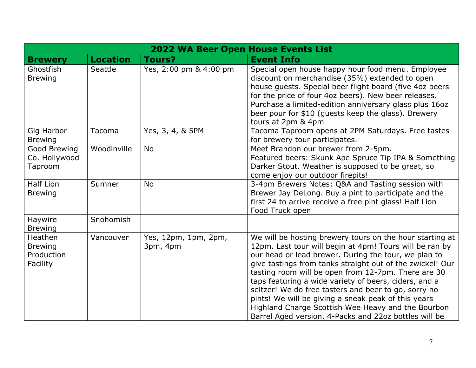|                                                     |                 | <b>2022 WA Beer Open House Events List</b> |                                                                                                                                                                                                                                                                                                                                                                                                                                                                                                                                                                                        |
|-----------------------------------------------------|-----------------|--------------------------------------------|----------------------------------------------------------------------------------------------------------------------------------------------------------------------------------------------------------------------------------------------------------------------------------------------------------------------------------------------------------------------------------------------------------------------------------------------------------------------------------------------------------------------------------------------------------------------------------------|
| <b>Brewery</b>                                      | <b>Location</b> | <b>Tours?</b>                              | <b>Event Info</b>                                                                                                                                                                                                                                                                                                                                                                                                                                                                                                                                                                      |
| Ghostfish<br><b>Brewing</b>                         | Seattle         | Yes, 2:00 pm & 4:00 pm                     | Special open house happy hour food menu. Employee<br>discount on merchandise (35%) extended to open<br>house guests. Special beer flight board (five 4oz beers<br>for the price of four 4oz beers). New beer releases.<br>Purchase a limited-edition anniversary glass plus 16oz<br>beer pour for \$10 (guests keep the glass). Brewery<br>tours at 2pm & 4pm                                                                                                                                                                                                                          |
| Gig Harbor<br><b>Brewing</b>                        | Tacoma          | Yes, 3, 4, & 5PM                           | Tacoma Taproom opens at 2PM Saturdays. Free tastes<br>for brewery tour participates.                                                                                                                                                                                                                                                                                                                                                                                                                                                                                                   |
| Good Brewing<br>Co. Hollywood<br>Taproom            | Woodinville     | <b>No</b>                                  | Meet Brandon our brewer from 2-5pm.<br>Featured beers: Skunk Ape Spruce Tip IPA & Something<br>Darker Stout. Weather is supposed to be great, so<br>come enjoy our outdoor firepits!                                                                                                                                                                                                                                                                                                                                                                                                   |
| <b>Half Lion</b><br><b>Brewing</b>                  | Sumner          | No                                         | 3-4pm Brewers Notes: Q&A and Tasting session with<br>Brewer Jay DeLong. Buy a pint to participate and the<br>first 24 to arrive receive a free pint glass! Half Lion<br>Food Truck open                                                                                                                                                                                                                                                                                                                                                                                                |
| Haywire<br><b>Brewing</b>                           | Snohomish       |                                            |                                                                                                                                                                                                                                                                                                                                                                                                                                                                                                                                                                                        |
| Heathen<br><b>Brewing</b><br>Production<br>Facility | Vancouver       | Yes, 12pm, 1pm, 2pm,<br>3pm, 4pm           | We will be hosting brewery tours on the hour starting at<br>12pm. Last tour will begin at 4pm! Tours will be ran by<br>our head or lead brewer. During the tour, we plan to<br>give tastings from tanks straight out of the zwickel! Our<br>tasting room will be open from 12-7pm. There are 30<br>taps featuring a wide variety of beers, ciders, and a<br>seltzer! We do free tasters and beer to go, sorry no<br>pints! We will be giving a sneak peak of this years<br>Highland Charge Scottish Wee Heavy and the Bourbon<br>Barrel Aged version. 4-Packs and 22oz bottles will be |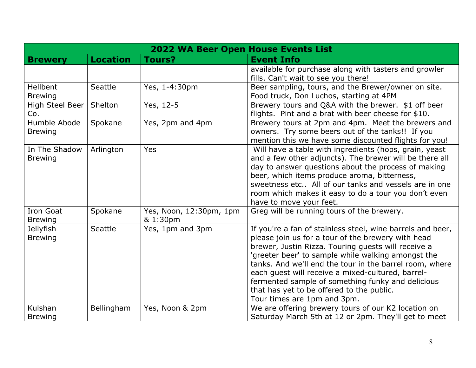|                                    | <b>2022 WA Beer Open House Events List</b> |                                     |                                                                                                                                                                                                                                                                                                                                                                                                                                                                                |  |
|------------------------------------|--------------------------------------------|-------------------------------------|--------------------------------------------------------------------------------------------------------------------------------------------------------------------------------------------------------------------------------------------------------------------------------------------------------------------------------------------------------------------------------------------------------------------------------------------------------------------------------|--|
| <b>Brewery</b>                     | <b>Location</b>                            | <b>Tours?</b>                       | <b>Event Info</b>                                                                                                                                                                                                                                                                                                                                                                                                                                                              |  |
|                                    |                                            |                                     | available for purchase along with tasters and growler<br>fills. Can't wait to see you there!                                                                                                                                                                                                                                                                                                                                                                                   |  |
| Hellbent<br><b>Brewing</b>         | Seattle                                    | Yes, 1-4:30pm                       | Beer sampling, tours, and the Brewer/owner on site.<br>Food truck, Don Luchos, starting at 4PM                                                                                                                                                                                                                                                                                                                                                                                 |  |
| High Steel Beer<br>Co.             | Shelton                                    | Yes, 12-5                           | Brewery tours and Q&A with the brewer. \$1 off beer<br>flights. Pint and a brat with beer cheese for \$10.                                                                                                                                                                                                                                                                                                                                                                     |  |
| Humble Abode<br><b>Brewing</b>     | Spokane                                    | Yes, 2pm and 4pm                    | Brewery tours at 2pm and 4pm. Meet the brewers and<br>owners. Try some beers out of the tanks!! If you<br>mention this we have some discounted flights for you!                                                                                                                                                                                                                                                                                                                |  |
| In The Shadow<br><b>Brewing</b>    | Arlington                                  | Yes                                 | Will have a table with ingredients (hops, grain, yeast<br>and a few other adjuncts). The brewer will be there all<br>day to answer questions about the process of making<br>beer, which items produce aroma, bitterness,<br>sweetness etc All of our tanks and vessels are in one<br>room which makes it easy to do a tour you don't even<br>have to move your feet.                                                                                                           |  |
| Iron Goat<br><b>Brewing</b>        | Spokane                                    | Yes, Noon, 12:30pm, 1pm<br>& 1:30pm | Greg will be running tours of the brewery.                                                                                                                                                                                                                                                                                                                                                                                                                                     |  |
| <b>Jellyfish</b><br><b>Brewing</b> | Seattle                                    | Yes, 1pm and 3pm                    | If you're a fan of stainless steel, wine barrels and beer,<br>please join us for a tour of the brewery with head<br>brewer, Justin Rizza. Touring quests will receive a<br>'greeter beer' to sample while walking amongst the<br>tanks. And we'll end the tour in the barrel room, where<br>each quest will receive a mixed-cultured, barrel-<br>fermented sample of something funky and delicious<br>that has yet to be offered to the public.<br>Tour times are 1pm and 3pm. |  |
| Kulshan<br><b>Brewing</b>          | Bellingham                                 | Yes, Noon & 2pm                     | We are offering brewery tours of our K2 location on<br>Saturday March 5th at 12 or 2pm. They'll get to meet                                                                                                                                                                                                                                                                                                                                                                    |  |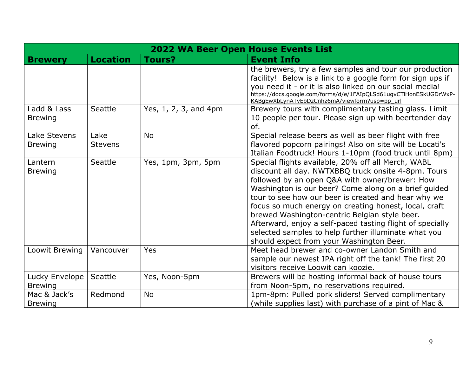|                                  | <b>2022 WA Beer Open House Events List</b> |                       |                                                                                                                                                                                                                                                                                                                                                                                                                                                                                                                                                       |
|----------------------------------|--------------------------------------------|-----------------------|-------------------------------------------------------------------------------------------------------------------------------------------------------------------------------------------------------------------------------------------------------------------------------------------------------------------------------------------------------------------------------------------------------------------------------------------------------------------------------------------------------------------------------------------------------|
| <b>Brewery</b>                   | <b>Location</b>                            | Tours?                | <b>Event Info</b>                                                                                                                                                                                                                                                                                                                                                                                                                                                                                                                                     |
|                                  |                                            |                       | the brewers, try a few samples and tour our production<br>facility! Below is a link to a google form for sign ups if<br>you need it - or it is also linked on our social media!<br>https://docs.google.com/forms/d/e/1FAIpOLSd61ugvCTlHonESkUGDrWxP-<br>KABgEwXbLynATyEbDzCnhz6mA/viewform?usp=pp_url                                                                                                                                                                                                                                                 |
| Ladd & Lass<br><b>Brewing</b>    | Seattle                                    | Yes, 1, 2, 3, and 4pm | Brewery tours with complimentary tasting glass. Limit<br>10 people per tour. Please sign up with beertender day<br>of.                                                                                                                                                                                                                                                                                                                                                                                                                                |
| Lake Stevens<br><b>Brewing</b>   | Lake<br><b>Stevens</b>                     | <b>No</b>             | Special release beers as well as beer flight with free<br>flavored popcorn pairings! Also on site will be Locati's<br>Italian Foodtruck! Hours 1-10pm (food truck until 8pm)                                                                                                                                                                                                                                                                                                                                                                          |
| Lantern<br><b>Brewing</b>        | Seattle                                    | Yes, 1pm, 3pm, 5pm    | Special flights available, 20% off all Merch, WABL<br>discount all day. NWTXBBQ truck onsite 4-8pm. Tours<br>followed by an open Q&A with owner/brewer: How<br>Washington is our beer? Come along on a brief guided<br>tour to see how our beer is created and hear why we<br>focus so much energy on creating honest, local, craft<br>brewed Washington-centric Belgian style beer.<br>Afterward, enjoy a self-paced tasting flight of specially<br>selected samples to help further illuminate what you<br>should expect from your Washington Beer. |
| Loowit Brewing                   | Vancouver                                  | Yes                   | Meet head brewer and co-owner Landon Smith and<br>sample our newest IPA right off the tank! The first 20<br>visitors receive Loowit can koozie.                                                                                                                                                                                                                                                                                                                                                                                                       |
| Lucky Envelope<br><b>Brewing</b> | Seattle                                    | Yes, Noon-5pm         | Brewers will be hosting informal back of house tours<br>from Noon-5pm, no reservations required.                                                                                                                                                                                                                                                                                                                                                                                                                                                      |
| Mac & Jack's<br><b>Brewing</b>   | Redmond                                    | <b>No</b>             | 1pm-8pm: Pulled pork sliders! Served complimentary<br>(while supplies last) with purchase of a pint of Mac &                                                                                                                                                                                                                                                                                                                                                                                                                                          |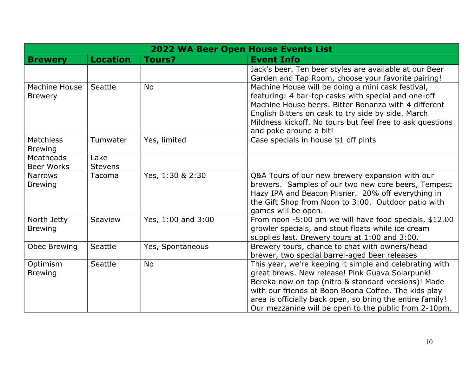|                                        | <b>2022 WA Beer Open House Events List</b> |                    |                                                                                                                                                                                                                                                                                                                                                 |  |
|----------------------------------------|--------------------------------------------|--------------------|-------------------------------------------------------------------------------------------------------------------------------------------------------------------------------------------------------------------------------------------------------------------------------------------------------------------------------------------------|--|
| <b>Brewery</b>                         | <b>Location</b>                            | <b>Tours?</b>      | <b>Event Info</b>                                                                                                                                                                                                                                                                                                                               |  |
|                                        |                                            |                    | Jack's beer. Ten beer styles are available at our Beer<br>Garden and Tap Room, choose your favorite pairing!                                                                                                                                                                                                                                    |  |
| <b>Machine House</b><br><b>Brewery</b> | Seattle                                    | <b>No</b>          | Machine House will be doing a mini cask festival,<br>featuring: 4 bar-top casks with special and one-off<br>Machine House beers. Bitter Bonanza with 4 different<br>English Bitters on cask to try side by side. March<br>Mildness kickoff. No tours but feel free to ask questions<br>and poke around a bit!                                   |  |
| <b>Matchless</b><br><b>Brewing</b>     | Tumwater                                   | Yes, limited       | Case specials in house \$1 off pints                                                                                                                                                                                                                                                                                                            |  |
| Meatheads<br><b>Beer Works</b>         | Lake<br><b>Stevens</b>                     |                    |                                                                                                                                                                                                                                                                                                                                                 |  |
| <b>Narrows</b><br><b>Brewing</b>       | Tacoma                                     | Yes, 1:30 & 2:30   | Q&A Tours of our new brewery expansion with our<br>brewers. Samples of our two new core beers, Tempest<br>Hazy IPA and Beacon Pilsner. 20% off everything in<br>the Gift Shop from Noon to 3:00. Outdoor patio with<br>games will be open.                                                                                                      |  |
| North Jetty<br><b>Brewing</b>          | Seaview                                    | Yes, 1:00 and 3:00 | From noon -5:00 pm we will have food specials, \$12.00<br>growler specials, and stout floats while ice cream<br>supplies last. Brewery tours at 1:00 and 3:00.                                                                                                                                                                                  |  |
| Obec Brewing                           | Seattle                                    | Yes, Spontaneous   | Brewery tours, chance to chat with owners/head<br>brewer, two special barrel-aged beer releases                                                                                                                                                                                                                                                 |  |
| Optimism<br><b>Brewing</b>             | Seattle                                    | <b>No</b>          | This year, we're keeping it simple and celebrating with<br>great brews. New release! Pink Guava Solarpunk!<br>Bereka now on tap (nitro & standard versions)! Made<br>with our friends at Boon Boona Coffee. The kids play<br>area is officially back open, so bring the entire family!<br>Our mezzanine will be open to the public from 2-10pm. |  |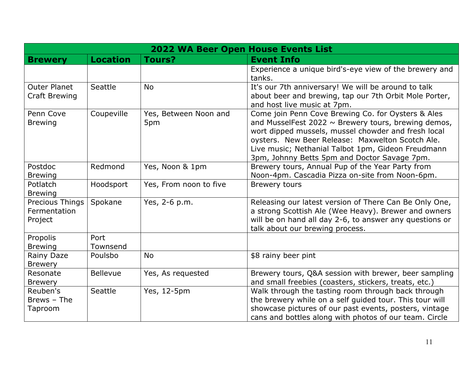|                                             | <b>2022 WA Beer Open House Events List</b> |                              |                                                                                                                                                                                                                                                                                                                                 |  |
|---------------------------------------------|--------------------------------------------|------------------------------|---------------------------------------------------------------------------------------------------------------------------------------------------------------------------------------------------------------------------------------------------------------------------------------------------------------------------------|--|
| <b>Brewery</b>                              | <b>Location</b>                            | Tours?                       | <b>Event Info</b>                                                                                                                                                                                                                                                                                                               |  |
|                                             |                                            |                              | Experience a unique bird's-eye view of the brewery and<br>tanks.                                                                                                                                                                                                                                                                |  |
| <b>Outer Planet</b><br><b>Craft Brewing</b> | Seattle                                    | <b>No</b>                    | It's our 7th anniversary! We will be around to talk<br>about beer and brewing, tap our 7th Orbit Mole Porter,<br>and host live music at 7pm.                                                                                                                                                                                    |  |
| Penn Cove<br><b>Brewing</b>                 | Coupeville                                 | Yes, Between Noon and<br>5pm | Come join Penn Cove Brewing Co. for Oysters & Ales<br>and MusselFest 2022 $\sim$ Brewery tours, brewing demos,<br>wort dipped mussels, mussel chowder and fresh local<br>oysters. New Beer Release: Maxwelton Scotch Ale.<br>Live music; Nethanial Talbot 1pm, Gideon Freudmann<br>3pm, Johnny Betts 5pm and Doctor Savage 7pm. |  |
| Postdoc<br><b>Brewing</b>                   | Redmond                                    | Yes, Noon & 1pm              | Brewery tours, Annual Pup of the Year Party from<br>Noon-4pm. Cascadia Pizza on-site from Noon-6pm.                                                                                                                                                                                                                             |  |
| Potlatch<br><b>Brewing</b>                  | Hoodsport                                  | Yes, From noon to five       | <b>Brewery tours</b>                                                                                                                                                                                                                                                                                                            |  |
| Precious Things<br>Fermentation<br>Project  | Spokane                                    | Yes, 2-6 p.m.                | Releasing our latest version of There Can Be Only One,<br>a strong Scottish Ale (Wee Heavy). Brewer and owners<br>will be on hand all day 2-6, to answer any questions or<br>talk about our brewing process.                                                                                                                    |  |
| Propolis<br><b>Brewing</b>                  | Port<br>Townsend                           |                              |                                                                                                                                                                                                                                                                                                                                 |  |
| Rainy Daze<br><b>Brewery</b>                | Poulsbo                                    | <b>No</b>                    | \$8 rainy beer pint                                                                                                                                                                                                                                                                                                             |  |
| Resonate<br><b>Brewery</b>                  | <b>Bellevue</b>                            | Yes, As requested            | Brewery tours, Q&A session with brewer, beer sampling<br>and small freebies (coasters, stickers, treats, etc.)                                                                                                                                                                                                                  |  |
| Reuben's<br>Brews - The<br>Taproom          | Seattle                                    | Yes, 12-5pm                  | Walk through the tasting room through back through<br>the brewery while on a self guided tour. This tour will<br>showcase pictures of our past events, posters, vintage<br>cans and bottles along with photos of our team. Circle                                                                                               |  |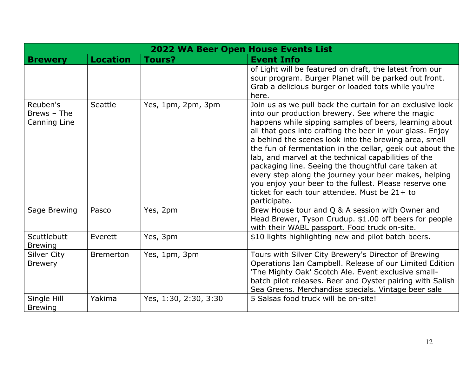|                                         | <b>2022 WA Beer Open House Events List</b> |                       |                                                                                                                                                                                                                                                                                                                                                                                                                                                                                                                                                                                                                                                               |
|-----------------------------------------|--------------------------------------------|-----------------------|---------------------------------------------------------------------------------------------------------------------------------------------------------------------------------------------------------------------------------------------------------------------------------------------------------------------------------------------------------------------------------------------------------------------------------------------------------------------------------------------------------------------------------------------------------------------------------------------------------------------------------------------------------------|
| <b>Brewery</b>                          | <b>Location</b>                            | <b>Tours?</b>         | <b>Event Info</b>                                                                                                                                                                                                                                                                                                                                                                                                                                                                                                                                                                                                                                             |
|                                         |                                            |                       | of Light will be featured on draft, the latest from our<br>sour program. Burger Planet will be parked out front.<br>Grab a delicious burger or loaded tots while you're<br>here.                                                                                                                                                                                                                                                                                                                                                                                                                                                                              |
| Reuben's<br>Brews - The<br>Canning Line | Seattle                                    | Yes, 1pm, 2pm, 3pm    | Join us as we pull back the curtain for an exclusive look<br>into our production brewery. See where the magic<br>happens while sipping samples of beers, learning about<br>all that goes into crafting the beer in your glass. Enjoy<br>a behind the scenes look into the brewing area, smell<br>the fun of fermentation in the cellar, geek out about the<br>lab, and marvel at the technical capabilities of the<br>packaging line. Seeing the thoughtful care taken at<br>every step along the journey your beer makes, helping<br>you enjoy your beer to the fullest. Please reserve one<br>ticket for each tour attendee. Must be 21+ to<br>participate. |
| Sage Brewing                            | Pasco                                      | Yes, 2pm              | Brew House tour and Q & A session with Owner and<br>Head Brewer, Tyson Crudup. \$1.00 off beers for people<br>with their WABL passport. Food truck on-site.                                                                                                                                                                                                                                                                                                                                                                                                                                                                                                   |
| Scuttlebutt<br><b>Brewing</b>           | Everett                                    | Yes, 3pm              | \$10 lights highlighting new and pilot batch beers.                                                                                                                                                                                                                                                                                                                                                                                                                                                                                                                                                                                                           |
| <b>Silver City</b><br><b>Brewery</b>    | <b>Bremerton</b>                           | Yes, 1pm, 3pm         | Tours with Silver City Brewery's Director of Brewing<br>Operations Ian Campbell. Release of our Limited Edition<br>'The Mighty Oak' Scotch Ale. Event exclusive small-<br>batch pilot releases. Beer and Oyster pairing with Salish<br>Sea Greens. Merchandise specials. Vintage beer sale                                                                                                                                                                                                                                                                                                                                                                    |
| Single Hill<br><b>Brewing</b>           | Yakima                                     | Yes, 1:30, 2:30, 3:30 | 5 Salsas food truck will be on-site!                                                                                                                                                                                                                                                                                                                                                                                                                                                                                                                                                                                                                          |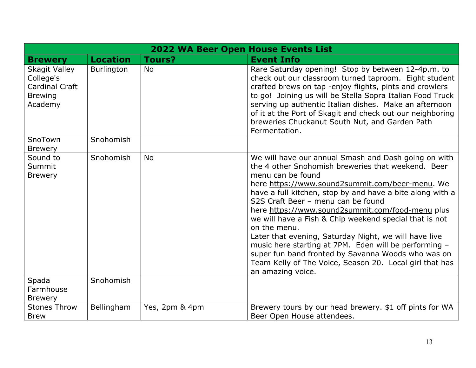| <b>2022 WA Beer Open House Events List</b>                                              |                   |                |                                                                                                                                                                                                                                                                                                                                                                                                                                                                                                                                                                                                                                                                             |  |  |  |
|-----------------------------------------------------------------------------------------|-------------------|----------------|-----------------------------------------------------------------------------------------------------------------------------------------------------------------------------------------------------------------------------------------------------------------------------------------------------------------------------------------------------------------------------------------------------------------------------------------------------------------------------------------------------------------------------------------------------------------------------------------------------------------------------------------------------------------------------|--|--|--|
| <b>Brewery</b>                                                                          | <b>Location</b>   | <b>Tours?</b>  | <b>Event Info</b>                                                                                                                                                                                                                                                                                                                                                                                                                                                                                                                                                                                                                                                           |  |  |  |
| <b>Skagit Valley</b><br>College's<br><b>Cardinal Craft</b><br><b>Brewing</b><br>Academy | <b>Burlington</b> | <b>No</b>      | Rare Saturday opening! Stop by between 12-4p.m. to<br>check out our classroom turned taproom. Eight student<br>crafted brews on tap -enjoy flights, pints and crowlers<br>to go! Joining us will be Stella Sopra Italian Food Truck<br>serving up authentic Italian dishes. Make an afternoon<br>of it at the Port of Skagit and check out our neighboring<br>breweries Chuckanut South Nut, and Garden Path<br>Fermentation.                                                                                                                                                                                                                                               |  |  |  |
| SnoTown<br><b>Brewery</b>                                                               | Snohomish         |                |                                                                                                                                                                                                                                                                                                                                                                                                                                                                                                                                                                                                                                                                             |  |  |  |
| Sound to<br>Summit<br><b>Brewery</b>                                                    | Snohomish         | <b>No</b>      | We will have our annual Smash and Dash going on with<br>the 4 other Snohomish breweries that weekend. Beer<br>menu can be found<br>here https://www.sound2summit.com/beer-menu. We<br>have a full kitchen, stop by and have a bite along with a<br>S2S Craft Beer - menu can be found<br>here https://www.sound2summit.com/food-menu plus<br>we will have a Fish & Chip weekend special that is not<br>on the menu.<br>Later that evening, Saturday Night, we will have live<br>music here starting at 7PM. Eden will be performing -<br>super fun band fronted by Savanna Woods who was on<br>Team Kelly of The Voice, Season 20. Local girl that has<br>an amazing voice. |  |  |  |
| Spada<br>Farmhouse<br><b>Brewery</b>                                                    | Snohomish         |                |                                                                                                                                                                                                                                                                                                                                                                                                                                                                                                                                                                                                                                                                             |  |  |  |
| <b>Stones Throw</b><br><b>Brew</b>                                                      | Bellingham        | Yes, 2pm & 4pm | Brewery tours by our head brewery. \$1 off pints for WA<br>Beer Open House attendees.                                                                                                                                                                                                                                                                                                                                                                                                                                                                                                                                                                                       |  |  |  |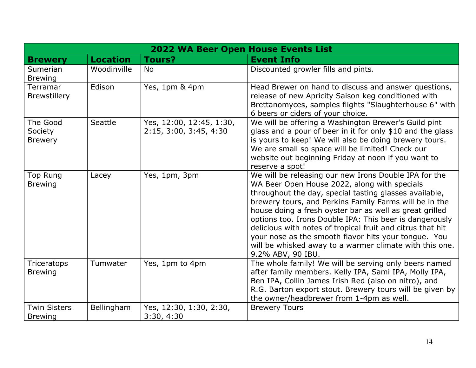| <b>2022 WA Beer Open House Events List</b> |                 |                                                    |                                                                                                                                                                                                                                                                                                                                                                                                                                                                                                                                                       |  |  |
|--------------------------------------------|-----------------|----------------------------------------------------|-------------------------------------------------------------------------------------------------------------------------------------------------------------------------------------------------------------------------------------------------------------------------------------------------------------------------------------------------------------------------------------------------------------------------------------------------------------------------------------------------------------------------------------------------------|--|--|
| <b>Brewery</b>                             | <b>Location</b> | <b>Tours?</b>                                      | <b>Event Info</b>                                                                                                                                                                                                                                                                                                                                                                                                                                                                                                                                     |  |  |
| Sumerian<br><b>Brewing</b>                 | Woodinville     | <b>No</b>                                          | Discounted growler fills and pints.                                                                                                                                                                                                                                                                                                                                                                                                                                                                                                                   |  |  |
| Terramar<br><b>Brewstillery</b>            | Edison          | Yes, 1pm & 4pm                                     | Head Brewer on hand to discuss and answer questions,<br>release of new Apricity Saison keg conditioned with<br>Brettanomyces, samples flights "Slaughterhouse 6" with<br>6 beers or ciders of your choice.                                                                                                                                                                                                                                                                                                                                            |  |  |
| The Good<br>Society<br><b>Brewery</b>      | Seattle         | Yes, 12:00, 12:45, 1:30,<br>2:15, 3:00, 3:45, 4:30 | We will be offering a Washington Brewer's Guild pint<br>glass and a pour of beer in it for only \$10 and the glass<br>is yours to keep! We will also be doing brewery tours.<br>We are small so space will be limited! Check our<br>website out beginning Friday at noon if you want to<br>reserve a spot!                                                                                                                                                                                                                                            |  |  |
| <b>Top Rung</b><br><b>Brewing</b>          | Lacey           | Yes, 1pm, 3pm                                      | We will be releasing our new Irons Double IPA for the<br>WA Beer Open House 2022, along with specials<br>throughout the day, special tasting glasses available,<br>brewery tours, and Perkins Family Farms will be in the<br>house doing a fresh oyster bar as well as great grilled<br>options too. Irons Double IPA: This beer is dangerously<br>delicious with notes of tropical fruit and citrus that hit<br>your nose as the smooth flavor hits your tongue. You<br>will be whisked away to a warmer climate with this one.<br>9.2% ABV, 90 IBU. |  |  |
| Triceratops<br><b>Brewing</b>              | Tumwater        | Yes, 1pm to 4pm                                    | The whole family! We will be serving only beers named<br>after family members. Kelly IPA, Sami IPA, Molly IPA,<br>Ben IPA, Collin James Irish Red (also on nitro), and<br>R.G. Barton export stout. Brewery tours will be given by<br>the owner/headbrewer from 1-4pm as well.                                                                                                                                                                                                                                                                        |  |  |
| <b>Twin Sisters</b><br><b>Brewing</b>      | Bellingham      | Yes, 12:30, 1:30, 2:30,<br>3:30, 4:30              | <b>Brewery Tours</b>                                                                                                                                                                                                                                                                                                                                                                                                                                                                                                                                  |  |  |